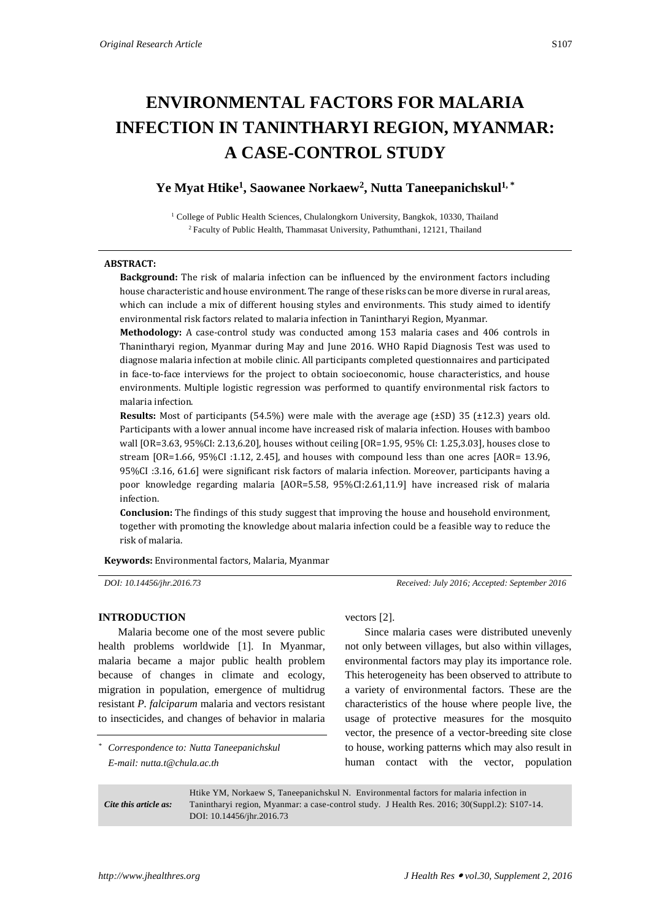# **ENVIRONMENTAL FACTORS FOR MALARIA INFECTION IN TANINTHARYI REGION, MYANMAR: A CASE-CONTROL STUDY**

# **Ye Myat Htike<sup>1</sup> , Saowanee Norkaew<sup>2</sup> , Nutta Taneepanichskul1, \***

<sup>1</sup> College of Public Health Sciences, Chulalongkorn University, Bangkok, 10330, Thailand <sup>2</sup> Faculty of Public Health, Thammasat University, Pathumthani, 12121, Thailand

#### **ABSTRACT:**

**Background:** The risk of malaria infection can be influenced by the environment factors including house characteristic and house environment. The range of these risks can be more diverse in rural areas, which can include a mix of different housing styles and environments. This study aimed to identify environmental risk factors related to malaria infection in Tanintharyi Region, Myanmar.

**Methodology:** A case-control study was conducted among 153 malaria cases and 406 controls in Thanintharyi region, Myanmar during May and June 2016. WHO Rapid Diagnosis Test was used to diagnose malaria infection at mobile clinic. All participants completed questionnaires and participated in face-to-face interviews for the project to obtain socioeconomic, house characteristics, and house environments. Multiple logistic regression was performed to quantify environmental risk factors to malaria infection.

**Results:** Most of participants (54.5%) were male with the average age (±SD) 35 (±12.3) years old. Participants with a lower annual income have increased risk of malaria infection. Houses with bamboo wall [OR=3.63, 95%CI: 2.13,6.20], houses without ceiling [OR=1.95, 95% CI: 1.25,3.03], houses close to stream [OR=1.66, 95%CI :1.12, 2.45], and houses with compound less than one acres [AOR= 13.96, 95%CI :3.16, 61.6] were significant risk factors of malaria infection. Moreover, participants having a poor knowledge regarding malaria [AOR=5.58, 95%CI:2.61,11.9] have increased risk of malaria infection.

**Conclusion:** The findings of this study suggest that improving the house and household environment, together with promoting the knowledge about malaria infection could be a feasible way to reduce the risk of malaria.

**Keywords:** Environmental factors, Malaria, Myanmar

*DOI: 10.14456/jhr.2016.73 Received: July 2016; Accepted: September 2016*

# **INTRODUCTION**

Malaria become one of the most severe public health problems worldwide [1]. In Myanmar, malaria became a major public health problem because of changes in climate and ecology, migration in population, emergence of multidrug resistant *P. falciparum* malaria and vectors resistant to insecticides, and changes of behavior in malaria

*\* Correspondence to: Nutta Taneepanichskul E-mail: nutta.t@chula.ac.th*

vectors [2].

Since malaria cases were distributed unevenly not only between villages, but also within villages, environmental factors may play its importance role. This heterogeneity has been observed to attribute to a variety of environmental factors. These are the characteristics of the house where people live, the usage of protective measures for the mosquito vector, the presence of a vector-breeding site close to house, working patterns which may also result in human contact with the vector, population

*Cite this article as:* Htike YM, Norkaew S, Taneepanichskul N. Environmental factors for malaria infection in Tanintharyi region, Myanmar: a case-control study. J Health Res. 2016; 30(Suppl.2): S107-14. DOI: 10.14456/jhr.2016.73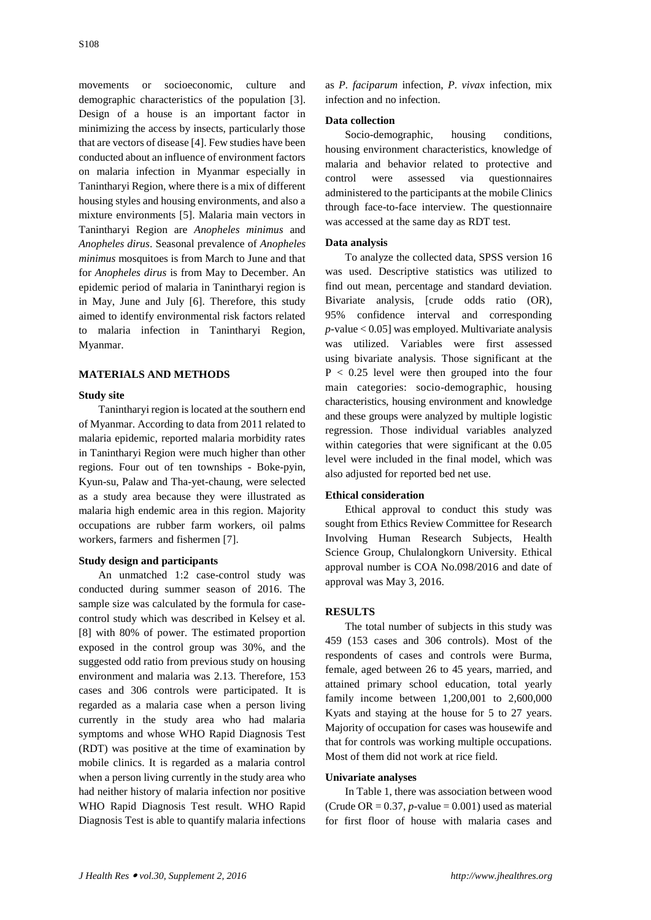movements or socioeconomic, culture and demographic characteristics of the population [3]. Design of a house is an important factor in minimizing the access by insects, particularly those that are vectors of disease [4]. Few studies have been conducted about an influence of environment factors on malaria infection in Myanmar especially in Tanintharyi Region, where there is a mix of different housing styles and housing environments, and also a mixture environments [5]. Malaria main vectors in Tanintharyi Region are *Anopheles minimus* and *Anopheles dirus*. Seasonal prevalence of *Anopheles minimus* mosquitoes is from March to June and that for *Anopheles dirus* is from May to December. An epidemic period of malaria in Tanintharyi region is in May, June and July [6]. Therefore, this study aimed to identify environmental risk factors related to malaria infection in Tanintharyi Region, Myanmar.

# **MATERIALS AND METHODS**

# **Study site**

Tanintharyi region is located at the southern end of Myanmar. According to data from 2011 related to malaria epidemic, reported malaria morbidity rates in Tanintharyi Region were much higher than other regions. Four out of ten townships - Boke-pyin, Kyun-su, Palaw and Tha-yet-chaung, were selected as a study area because they were illustrated as malaria high endemic area in this region. Majority occupations are rubber farm workers, oil palms workers, farmers and fishermen [7].

#### **Study design and participants**

An unmatched 1:2 case-control study was conducted during summer season of 2016. The sample size was calculated by the formula for casecontrol study which was described in Kelsey et al. [8] with 80% of power. The estimated proportion exposed in the control group was 30%, and the suggested odd ratio from previous study on housing environment and malaria was 2.13. Therefore, 153 cases and 306 controls were participated. It is regarded as a malaria case when a person living currently in the study area who had malaria symptoms and whose WHO Rapid Diagnosis Test (RDT) was positive at the time of examination by mobile clinics. It is regarded as a malaria control when a person living currently in the study area who had neither history of malaria infection nor positive WHO Rapid Diagnosis Test result. WHO Rapid Diagnosis Test is able to quantify malaria infections

as *P. faciparum* infection, *P. vivax* infection, mix infection and no infection.

#### **Data collection**

Socio-demographic, housing conditions, housing environment characteristics, knowledge of malaria and behavior related to protective and control were assessed via questionnaires administered to the participants at the mobile Clinics through face-to-face interview. The questionnaire was accessed at the same day as RDT test.

# **Data analysis**

To analyze the collected data, SPSS version 16 was used. Descriptive statistics was utilized to find out mean, percentage and standard deviation. Bivariate analysis, [crude odds ratio (OR), 95% confidence interval and corresponding *p-*value < 0.05] was employed. Multivariate analysis was utilized. Variables were first assessed using bivariate analysis. Those significant at the  $P < 0.25$  level were then grouped into the four main categories: socio-demographic, housing characteristics, housing environment and knowledge and these groups were analyzed by multiple logistic regression. Those individual variables analyzed within categories that were significant at the 0.05 level were included in the final model, which was also adjusted for reported bed net use.

#### **Ethical consideration**

Ethical approval to conduct this study was sought from Ethics Review Committee for Research Involving Human Research Subjects, Health Science Group, Chulalongkorn University. Ethical approval number is COA No.098/2016 and date of approval was May 3, 2016.

#### **RESULTS**

The total number of subjects in this study was 459 (153 cases and 306 controls). Most of the respondents of cases and controls were Burma, female, aged between 26 to 45 years, married, and attained primary school education, total yearly family income between 1,200,001 to 2,600,000 Kyats and staying at the house for 5 to 27 years. Majority of occupation for cases was housewife and that for controls was working multiple occupations*.* Most of them did not work at rice field.

#### **Univariate analyses**

In Table 1, there was association between wood (Crude OR  $= 0.37$ , *p*-value  $= 0.001$ ) used as material for first floor of house with malaria cases and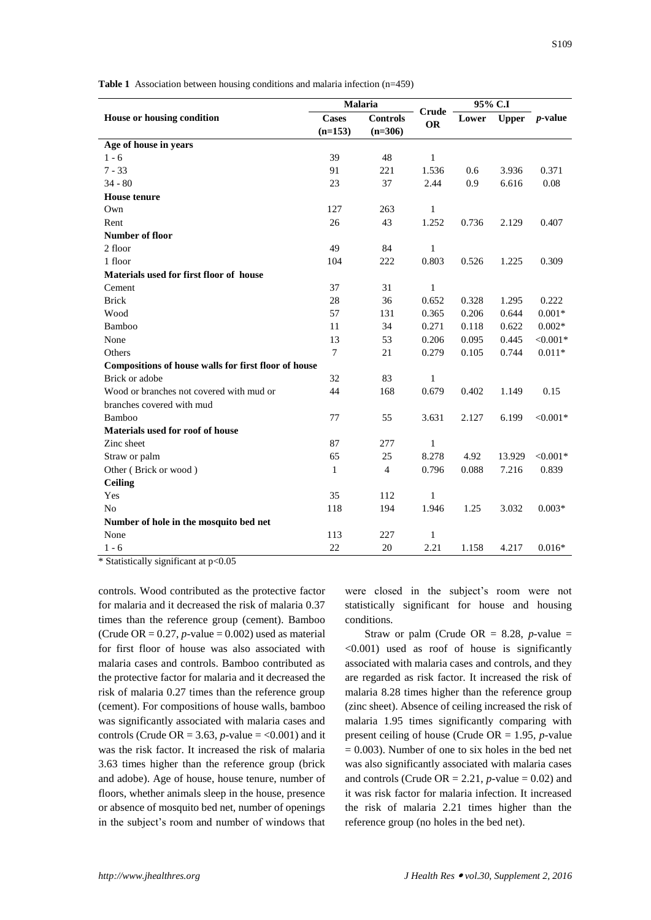**Table 1** Association between housing conditions and malaria infection (n=459)

|                                                      | Malaria                         |                | 95% C.I            |       |        |                  |
|------------------------------------------------------|---------------------------------|----------------|--------------------|-------|--------|------------------|
| House or housing condition                           | <b>Cases</b><br><b>Controls</b> |                | Crude<br><b>OR</b> | Lower |        | Upper $p$ -value |
|                                                      | $(n=153)$                       | $(n=306)$      |                    |       |        |                  |
| Age of house in years                                |                                 |                |                    |       |        |                  |
| $1 - 6$                                              | 39                              | 48             | 1                  |       |        |                  |
| $7 - 33$                                             | 91                              | 221            | 1.536              | 0.6   | 3.936  | 0.371            |
| $34 - 80$                                            | 23                              | 37             | 2.44               | 0.9   | 6.616  | 0.08             |
| <b>House</b> tenure                                  |                                 |                |                    |       |        |                  |
| Own                                                  | 127                             | 263            | 1                  |       |        |                  |
| Rent                                                 | 26                              | 43             | 1.252              | 0.736 | 2.129  | 0.407            |
| <b>Number of floor</b>                               |                                 |                |                    |       |        |                  |
| 2 floor                                              | 49                              | 84             | 1                  |       |        |                  |
| 1 floor                                              | 104                             | 222            | 0.803              | 0.526 | 1.225  | 0.309            |
| Materials used for first floor of house              |                                 |                |                    |       |        |                  |
| Cement                                               | 37                              | 31             | $\mathbf{1}$       |       |        |                  |
| <b>Brick</b>                                         | 28                              | 36             | 0.652              | 0.328 | 1.295  | 0.222            |
| Wood                                                 | 57                              | 131            | 0.365              | 0.206 | 0.644  | $0.001*$         |
| Bamboo                                               | 11                              | 34             | 0.271              | 0.118 | 0.622  | $0.002*$         |
| None                                                 | 13                              | 53             | 0.206              | 0.095 | 0.445  | $< 0.001*$       |
| Others                                               | $\tau$                          | 21             | 0.279              | 0.105 | 0.744  | $0.011*$         |
| Compositions of house walls for first floor of house |                                 |                |                    |       |        |                  |
| Brick or adobe                                       | 32                              | 83             | 1                  |       |        |                  |
| Wood or branches not covered with mud or             | 44                              | 168            | 0.679              | 0.402 | 1.149  | 0.15             |
| branches covered with mud                            |                                 |                |                    |       |        |                  |
| Bamboo                                               | 77                              | 55             | 3.631              | 2.127 | 6.199  | $< 0.001*$       |
| Materials used for roof of house                     |                                 |                |                    |       |        |                  |
| Zinc sheet                                           | 87                              | 277            | 1                  |       |        |                  |
| Straw or palm                                        | 65                              | 25             | 8.278              | 4.92  | 13.929 | $< 0.001*$       |
| Other (Brick or wood)                                | $\mathbf{1}$                    | $\overline{4}$ | 0.796              | 0.088 | 7.216  | 0.839            |
| <b>Ceiling</b>                                       |                                 |                |                    |       |        |                  |
| Yes                                                  | 35                              | 112            | 1                  |       |        |                  |
| N <sub>0</sub>                                       | 118                             | 194            | 1.946              | 1.25  | 3.032  | $0.003*$         |
| Number of hole in the mosquito bed net               |                                 |                |                    |       |        |                  |
| None                                                 | 113                             | 227            | $\mathbf{1}$       |       |        |                  |
| $1 - 6$                                              | 22                              | 20             | 2.21               | 1.158 | 4.217  | $0.016*$         |

 $*$  Statistically significant at  $p<0.05$ 

controls. Wood contributed as the protective factor for malaria and it decreased the risk of malaria 0.37 times than the reference group (cement). Bamboo (Crude OR  $= 0.27$ , *p*-value  $= 0.002$ ) used as material for first floor of house was also associated with malaria cases and controls. Bamboo contributed as the protective factor for malaria and it decreased the risk of malaria 0.27 times than the reference group (cement). For compositions of house walls, bamboo was significantly associated with malaria cases and controls (Crude OR = 3.63,  $p$ -value = <0.001) and it was the risk factor. It increased the risk of malaria 3.63 times higher than the reference group (brick and adobe). Age of house, house tenure, number of floors, whether animals sleep in the house, presence or absence of mosquito bed net, number of openings in the subject's room and number of windows that

were closed in the subject's room were not statistically significant for house and housing conditions.

Straw or palm (Crude OR  $= 8.28$ , *p*-value  $=$ <0.001) used as roof of house is significantly associated with malaria cases and controls, and they are regarded as risk factor. It increased the risk of malaria 8.28 times higher than the reference group (zinc sheet). Absence of ceiling increased the risk of malaria 1.95 times significantly comparing with present ceiling of house (Crude OR = 1.95, *p-*value  $= 0.003$ ). Number of one to six holes in the bed net was also significantly associated with malaria cases and controls (Crude OR  $= 2.21$ , *p*-value  $= 0.02$ ) and it was risk factor for malaria infection. It increased the risk of malaria 2.21 times higher than the reference group (no holes in the bed net).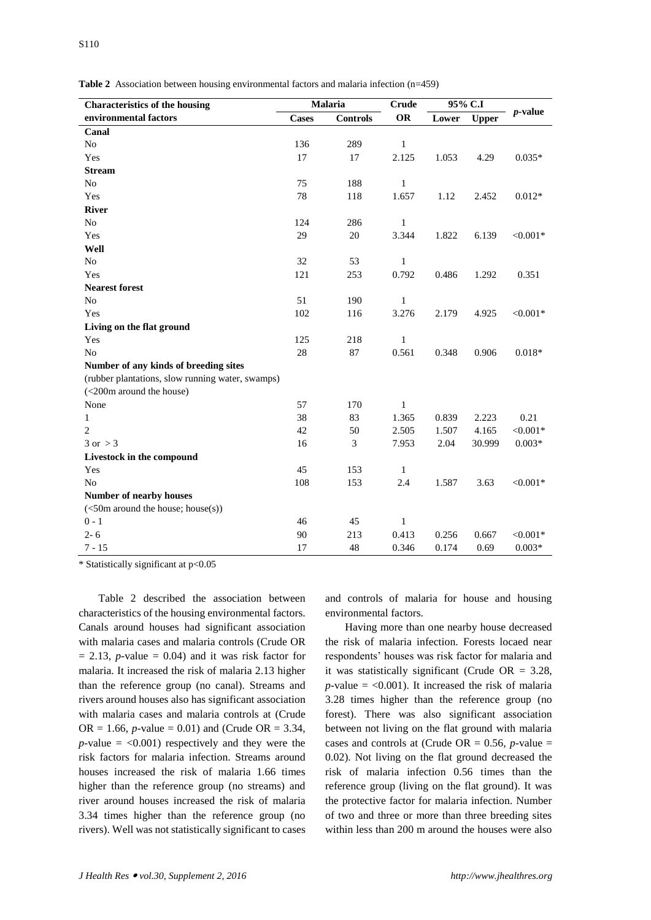|  | <b>Table 2</b> Association between housing environmental factors and malaria infection $(n=459)$ |  |  |  |  |  |  |  |  |  |  |
|--|--------------------------------------------------------------------------------------------------|--|--|--|--|--|--|--|--|--|--|
|--|--------------------------------------------------------------------------------------------------|--|--|--|--|--|--|--|--|--|--|

| <b>Characteristics of the housing</b>            | Malaria      |                 | 95% C.I<br><b>Crude</b> |       |              |             |  |
|--------------------------------------------------|--------------|-----------------|-------------------------|-------|--------------|-------------|--|
| environmental factors                            | <b>Cases</b> | <b>Controls</b> | <b>OR</b>               | Lower | <b>Upper</b> | $p$ -value  |  |
| Canal                                            |              |                 |                         |       |              |             |  |
| N <sub>o</sub>                                   | 136          | 289             | 1                       |       |              |             |  |
| Yes                                              | 17           | 17              | 2.125                   | 1.053 | 4.29         | $0.035*$    |  |
| <b>Stream</b>                                    |              |                 |                         |       |              |             |  |
| N <sub>o</sub>                                   | 75           | 188             | $\mathbf{1}$            |       |              |             |  |
| Yes                                              | 78           | 118             | 1.657                   | 1.12  | 2.452        | $0.012*$    |  |
| <b>River</b>                                     |              |                 |                         |       |              |             |  |
| N <sub>o</sub>                                   | 124          | 286             | $\mathbf{1}$            |       |              |             |  |
| Yes                                              | 29           | 20              | 3.344                   | 1.822 | 6.139        | $< 0.001*$  |  |
| Well                                             |              |                 |                         |       |              |             |  |
| N <sub>o</sub>                                   | 32           | 53              | $\,1$                   |       |              |             |  |
| Yes                                              | 121          | 253             | 0.792                   | 0.486 | 1.292        | 0.351       |  |
| <b>Nearest forest</b>                            |              |                 |                         |       |              |             |  |
| N <sub>o</sub>                                   | 51           | 190             | 1                       |       |              |             |  |
| Yes                                              | 102          | 116             | 3.276                   | 2.179 | 4.925        | ${<}0.001*$ |  |
| Living on the flat ground                        |              |                 |                         |       |              |             |  |
| Yes                                              | 125          | 218             | $\mathbf{1}$            |       |              |             |  |
| No                                               | 28           | 87              | 0.561                   | 0.348 | 0.906        | $0.018*$    |  |
| Number of any kinds of breeding sites            |              |                 |                         |       |              |             |  |
| (rubber plantations, slow running water, swamps) |              |                 |                         |       |              |             |  |
| (<200m around the house)                         |              |                 |                         |       |              |             |  |
| None                                             | 57           | 170             | $\mathbf{1}$            |       |              |             |  |
| $\mathbf{1}$                                     | 38           | 83              | 1.365                   | 0.839 | 2.223        | 0.21        |  |
| $\overline{2}$                                   | 42           | 50              | 2.505                   | 1.507 | 4.165        | ${<}0.001*$ |  |
| $3 \text{ or } > 3$                              | 16           | 3               | 7.953                   | 2.04  | 30.999       | $0.003*$    |  |
| Livestock in the compound                        |              |                 |                         |       |              |             |  |
| Yes                                              | 45           | 153             | $\mathbf{1}$            |       |              |             |  |
| N <sub>o</sub>                                   | 108          | 153             | 2.4                     | 1.587 | 3.63         | $< 0.001*$  |  |
| Number of nearby houses                          |              |                 |                         |       |              |             |  |
| (<50m around the house; house(s))                |              |                 |                         |       |              |             |  |
| $0 - 1$                                          | 46           | 45              | $\mathbf{1}$            |       |              |             |  |
| $2 - 6$                                          | 90           | 213             | 0.413                   | 0.256 | 0.667        | $< 0.001*$  |  |
| $7 - 15$                                         | 17           | 48              | 0.346                   | 0.174 | 0.69         | $0.003*$    |  |

\* Statistically significant at p<0.05

Table 2 described the association between characteristics of the housing environmental factors. Canals around houses had significant association with malaria cases and malaria controls (Crude OR  $= 2.13$ , *p*-value  $= 0.04$ ) and it was risk factor for malaria. It increased the risk of malaria 2.13 higher than the reference group (no canal). Streams and rivers around houses also has significant association with malaria cases and malaria controls at (Crude OR = 1.66, *p*-value = 0.01) and (Crude OR = 3.34,  $p$ -value  $=$  <0.001) respectively and they were the risk factors for malaria infection. Streams around houses increased the risk of malaria 1.66 times higher than the reference group (no streams) and river around houses increased the risk of malaria 3.34 times higher than the reference group (no rivers). Well was not statistically significant to cases

and controls of malaria for house and housing environmental factors.

Having more than one nearby house decreased the risk of malaria infection. Forests locaed near respondents' houses was risk factor for malaria and it was statistically significant (Crude  $OR = 3.28$ ,  $p$ -value = <0.001). It increased the risk of malaria 3.28 times higher than the reference group (no forest). There was also significant association between not living on the flat ground with malaria cases and controls at (Crude OR  $= 0.56$ , *p*-value  $=$ 0.02). Not living on the flat ground decreased the risk of malaria infection 0.56 times than the reference group (living on the flat ground). It was the protective factor for malaria infection. Number of two and three or more than three breeding sites within less than 200 m around the houses were also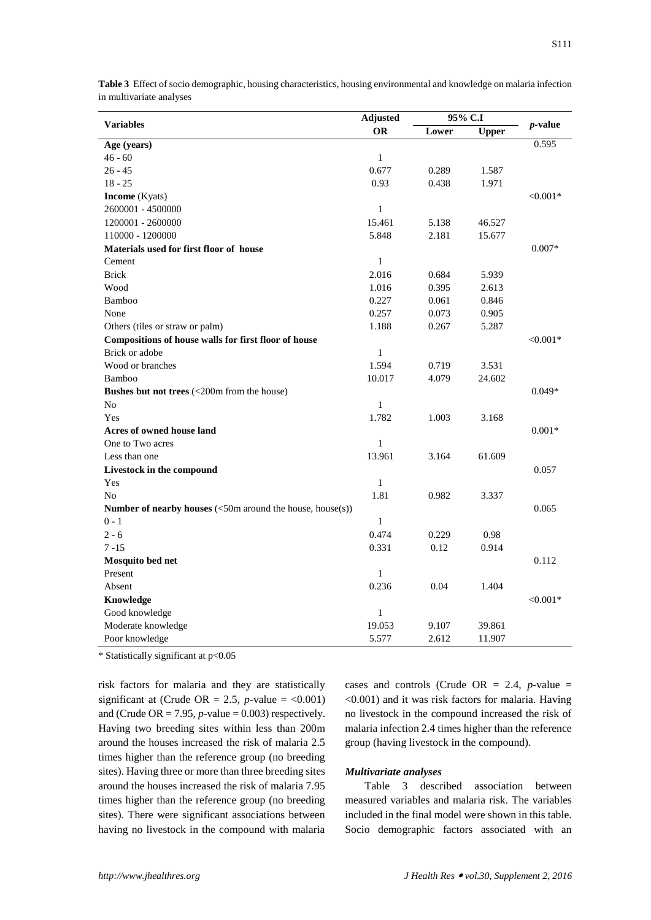|                                                                                                       | Adjusted     | 95% C.I |              |                 |
|-------------------------------------------------------------------------------------------------------|--------------|---------|--------------|-----------------|
| <b>Variables</b>                                                                                      | <b>OR</b>    | Lower   | <b>Upper</b> | <i>p</i> -value |
| Age (years)                                                                                           |              |         |              | 0.595           |
| $46 - 60$                                                                                             | $\mathbf{1}$ |         |              |                 |
| $26 - 45$                                                                                             | 0.677        | 0.289   | 1.587        |                 |
| $18 - 25$                                                                                             | 0.93         | 0.438   | 1.971        |                 |
| <b>Income</b> (Kyats)                                                                                 |              |         |              | $< 0.001*$      |
| 2600001 - 4500000                                                                                     | $\mathbf{1}$ |         |              |                 |
| 1200001 - 2600000                                                                                     | 15.461       | 5.138   | 46.527       |                 |
| 110000 - 1200000                                                                                      | 5.848        | 2.181   | 15.677       |                 |
| Materials used for first floor of house                                                               |              |         |              | $0.007*$        |
| Cement                                                                                                | $\mathbf{1}$ |         |              |                 |
| <b>Brick</b>                                                                                          | 2.016        | 0.684   | 5.939        |                 |
| Wood                                                                                                  | 1.016        | 0.395   | 2.613        |                 |
| Bamboo                                                                                                | 0.227        | 0.061   | 0.846        |                 |
| None                                                                                                  | 0.257        | 0.073   | 0.905        |                 |
| Others (tiles or straw or palm)                                                                       | 1.188        | 0.267   | 5.287        |                 |
| Compositions of house walls for first floor of house                                                  |              |         |              | $< 0.001*$      |
| Brick or adobe                                                                                        | $\mathbf{1}$ |         |              |                 |
| Wood or branches                                                                                      | 1.594        | 0.719   | 3.531        |                 |
| Bamboo                                                                                                | 10.017       | 4.079   | 24.602       |                 |
| <b>Bushes but not trees</b> (<200m from the house)                                                    |              |         |              | $0.049*$        |
| No                                                                                                    | $\mathbf{1}$ |         |              |                 |
| Yes                                                                                                   | 1.782        | 1.003   | 3.168        |                 |
| Acres of owned house land                                                                             |              |         |              | $0.001*$        |
| One to Two acres                                                                                      | $\mathbf{1}$ |         |              |                 |
| Less than one                                                                                         | 13.961       | 3.164   | 61.609       |                 |
| Livestock in the compound                                                                             |              |         |              | 0.057           |
| Yes                                                                                                   | $\mathbf{1}$ |         |              |                 |
| N <sub>o</sub>                                                                                        | 1.81         | 0.982   | 3.337        |                 |
| <b>Number of nearby houses</b> $\left(\langle 50 \text{m} \text{ around the house, house(s)} \right)$ |              |         |              | 0.065           |
| $0 - 1$                                                                                               | $\mathbf{1}$ |         |              |                 |
| $2 - 6$                                                                                               | 0.474        | 0.229   | 0.98         |                 |
| $7 - 15$                                                                                              | 0.331        | 0.12    | 0.914        |                 |
| Mosquito bed net                                                                                      |              |         |              | 0.112           |
| Present                                                                                               | $\mathbf{1}$ |         |              |                 |
| Absent                                                                                                | 0.236        | 0.04    | 1.404        |                 |
| Knowledge                                                                                             |              |         |              | $< 0.001*$      |
| Good knowledge                                                                                        | $\,1$        |         |              |                 |
| Moderate knowledge                                                                                    | 19.053       | 9.107   | 39.861       |                 |
| Poor knowledge                                                                                        | 5.577        | 2.612   | 11.907       |                 |

**Table 3** Effect of socio demographic, housing characteristics, housing environmental and knowledge on malaria infection in multivariate analyses

\* Statistically significant at p<0.05

risk factors for malaria and they are statistically significant at (Crude OR = 2.5, *p*-value =  $\langle 0.001 \rangle$ and (Crude OR  $= 7.95$ , *p*-value  $= 0.003$ ) respectively. Having two breeding sites within less than 200m around the houses increased the risk of malaria 2.5 times higher than the reference group (no breeding sites). Having three or more than three breeding sites around the houses increased the risk of malaria 7.95 times higher than the reference group (no breeding sites). There were significant associations between having no livestock in the compound with malaria

cases and controls (Crude OR = 2.4, *p-*value = <0.001) and it was risk factors for malaria. Having no livestock in the compound increased the risk of malaria infection 2.4 times higher than the reference group (having livestock in the compound).

# *Multivariate analyses*

Table 3 described association between measured variables and malaria risk. The variables included in the final model were shown in this table. Socio demographic factors associated with an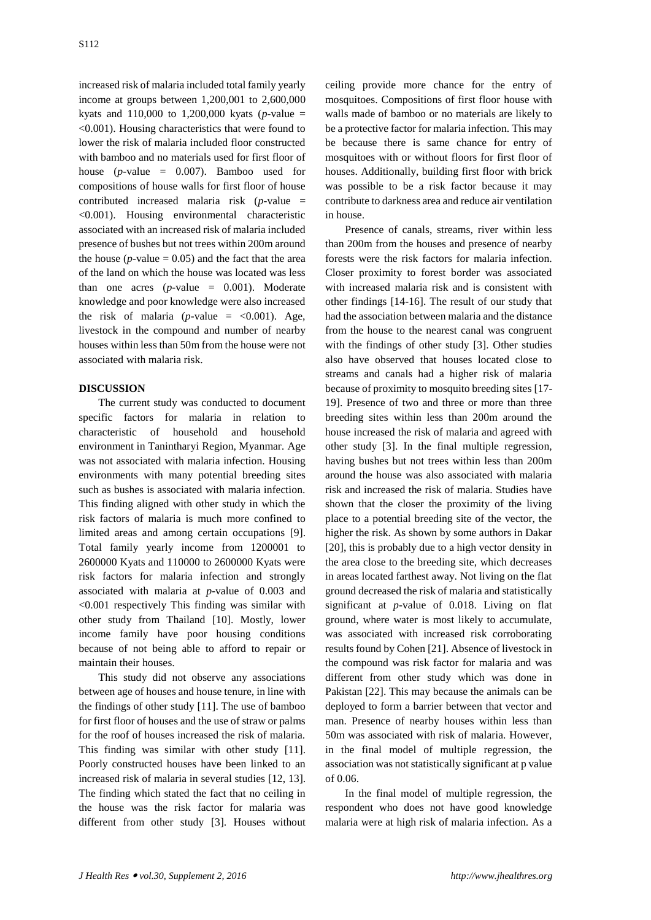increased risk of malaria included total family yearly income at groups between 1,200,001 to 2,600,000 kyats and 110,000 to 1,200,000 kyats (*p-*value = <0.001). Housing characteristics that were found to lower the risk of malaria included floor constructed with bamboo and no materials used for first floor of house (*p-*value = 0.007). Bamboo used for compositions of house walls for first floor of house contributed increased malaria risk (*p-*value = <0.001). Housing environmental characteristic associated with an increased risk of malaria included presence of bushes but not trees within 200m around the house ( $p$ -value  $= 0.05$ ) and the fact that the area of the land on which the house was located was less than one acres (*p-*value = 0.001). Moderate knowledge and poor knowledge were also increased the risk of malaria ( $p$ -value =  $\langle 0.001 \rangle$ ). Age, livestock in the compound and number of nearby houses within less than 50m from the house were not associated with malaria risk.

# **DISCUSSION**

The current study was conducted to document specific factors for malaria in relation to characteristic of household and household environment in Tanintharyi Region, Myanmar*.* Age was not associated with malaria infection. Housing environments with many potential breeding sites such as bushes is associated with malaria infection. This finding aligned with other study in which the risk factors of malaria is much more confined to limited areas and among certain occupations [9]. Total family yearly income from 1200001 to 2600000 Kyats and 110000 to 2600000 Kyats were risk factors for malaria infection and strongly associated with malaria at *p*-value of 0.003 and <0.001 respectively This finding was similar with other study from Thailand [10]. Mostly, lower income family have poor housing conditions because of not being able to afford to repair or maintain their houses.

This study did not observe any associations between age of houses and house tenure, in line with the findings of other study [11]. The use of bamboo for first floor of houses and the use of straw or palms for the roof of houses increased the risk of malaria. This finding was similar with other study [11]. Poorly constructed houses have been linked to an increased risk of malaria in several studies [12, 13]. The finding which stated the fact that no ceiling in the house was the risk factor for malaria was different from other study [3]. Houses without

ceiling provide more chance for the entry of mosquitoes. Compositions of first floor house with walls made of bamboo or no materials are likely to be a protective factor for malaria infection. This may be because there is same chance for entry of mosquitoes with or without floors for first floor of houses. Additionally, building first floor with brick was possible to be a risk factor because it may contribute to darkness area and reduce air ventilation in house.

Presence of canals, streams, river within less than 200m from the houses and presence of nearby forests were the risk factors for malaria infection. Closer proximity to forest border was associated with increased malaria risk and is consistent with other findings [14-16]. The result of our study that had the association between malaria and the distance from the house to the nearest canal was congruent with the findings of other study [3]. Other studies also have observed that houses located close to streams and canals had a higher risk of malaria because of proximity to mosquito breeding sites [17- 19]. Presence of two and three or more than three breeding sites within less than 200m around the house increased the risk of malaria and agreed with other study [3]. In the final multiple regression, having bushes but not trees within less than 200m around the house was also associated with malaria risk and increased the risk of malaria. Studies have shown that the closer the proximity of the living place to a potential breeding site of the vector, the higher the risk. As shown by some authors in Dakar [20], this is probably due to a high vector density in the area close to the breeding site, which decreases in areas located farthest away. Not living on the flat ground decreased the risk of malaria and statistically significant at *p-*value of 0.018. Living on flat ground, where water is most likely to accumulate, was associated with increased risk corroborating results found by Cohen [21]. Absence of livestock in the compound was risk factor for malaria and was different from other study which was done in Pakistan [22]. This may because the animals can be deployed to form a barrier between that vector and man. Presence of nearby houses within less than 50m was associated with risk of malaria. However, in the final model of multiple regression, the association was not statistically significant at p value of 0.06.

In the final model of multiple regression, the respondent who does not have good knowledge malaria were at high risk of malaria infection. As a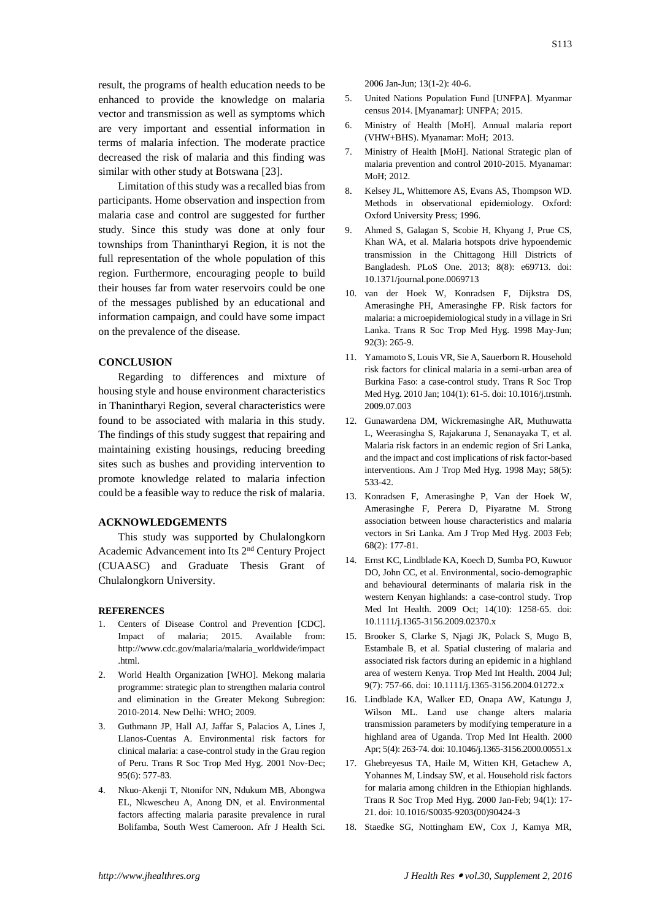result, the programs of health education needs to be enhanced to provide the knowledge on malaria vector and transmission as well as symptoms which are very important and essential information in terms of malaria infection. The moderate practice decreased the risk of malaria and this finding was similar with other study at Botswana [23].

Limitation of this study was a recalled bias from participants. Home observation and inspection from malaria case and control are suggested for further study. Since this study was done at only four townships from Thanintharyi Region, it is not the full representation of the whole population of this region. Furthermore, encouraging people to build their houses far from water reservoirs could be one of the messages published by an educational and information campaign, and could have some impact on the prevalence of the disease.

#### **CONCLUSION**

Regarding to differences and mixture of housing style and house environment characteristics in Thanintharyi Region, several characteristics were found to be associated with malaria in this study. The findings of this study suggest that repairing and maintaining existing housings, reducing breeding sites such as bushes and providing intervention to promote knowledge related to malaria infection could be a feasible way to reduce the risk of malaria.

# **ACKNOWLEDGEMENTS**

This study was supported by Chulalongkorn Academic Advancement into Its 2nd Century Project (CUAASC) and Graduate Thesis Grant of Chulalongkorn University.

#### **REFERENCES**

- 1. Centers of Disease Control and Prevention [CDC]. Impact of malaria; 2015. Available from: http://www.cdc.gov/malaria/malaria\_worldwide/impact .html.
- 2. World Health Organization [WHO]. Mekong malaria programme: strategic plan to strengthen malaria control and elimination in the Greater Mekong Subregion: 2010-2014. New Delhi: WHO; 2009.
- 3. Guthmann JP, Hall AJ, Jaffar S, Palacios A, Lines J, Llanos-Cuentas A. Environmental risk factors for clinical malaria: a case-control study in the Grau region of Peru. Trans R Soc Trop Med Hyg. 2001 Nov-Dec; 95(6): 577-83.
- 4. Nkuo-Akenji T, Ntonifor NN, Ndukum MB, Abongwa EL, Nkwescheu A, Anong DN, et al. Environmental factors affecting malaria parasite prevalence in rural Bolifamba, South West Cameroon. Afr J Health Sci.

2006 Jan-Jun; 13(1-2): 40-6.

- 5. United Nations Population Fund [UNFPA]. Myanmar census 2014. [Myanamar]: UNFPA; 2015.
- 6. Ministry of Health [MoH]. Annual malaria report (VHW+BHS). Myanamar: MoH; 2013.
- 7. Ministry of Health [MoH]. National Strategic plan of malaria prevention and control 2010-2015. Myanamar:  $MoH: 2012$ .
- 8. Kelsey JL, Whittemore AS, Evans AS, Thompson WD. Methods in observational epidemiology. Oxford: Oxford University Press; 1996.
- 9. Ahmed S, Galagan S, Scobie H, Khyang J, Prue CS, Khan WA, et al. Malaria hotspots drive hypoendemic transmission in the Chittagong Hill Districts of Bangladesh. PLoS One. 2013; 8(8): e69713. doi: 10.1371/journal.pone.0069713
- 10. van der Hoek W, Konradsen F, Dijkstra DS, Amerasinghe PH, Amerasinghe FP. Risk factors for malaria: a microepidemiological study in a village in Sri Lanka. Trans R Soc Trop Med Hyg. 1998 May-Jun; 92(3): 265-9.
- 11. Yamamoto S, Louis VR, Sie A, Sauerborn R. Household risk factors for clinical malaria in a semi-urban area of Burkina Faso: a case-control study. Trans R Soc Trop Med Hyg. 2010 Jan; 104(1): 61-5. doi: 10.1016/j.trstmh. 2009.07.003
- 12. Gunawardena DM, Wickremasinghe AR, Muthuwatta L, Weerasingha S, Rajakaruna J, Senanayaka T, et al. Malaria risk factors in an endemic region of Sri Lanka, and the impact and cost implications of risk factor-based interventions. Am J Trop Med Hyg. 1998 May; 58(5): 533-42.
- 13. Konradsen F, Amerasinghe P, Van der Hoek W, Amerasinghe F, Perera D, Piyaratne M. Strong association between house characteristics and malaria vectors in Sri Lanka. Am J Trop Med Hyg. 2003 Feb; 68(2): 177-81.
- 14. Ernst KC, Lindblade KA, Koech D, Sumba PO, Kuwuor DO, John CC, et al. Environmental, socio-demographic and behavioural determinants of malaria risk in the western Kenyan highlands: a case-control study. Trop Med Int Health. 2009 Oct; 14(10): 1258-65. doi: 10.1111/j.1365-3156.2009.02370.x
- 15. Brooker S, Clarke S, Njagi JK, Polack S, Mugo B, Estambale B, et al. Spatial clustering of malaria and associated risk factors during an epidemic in a highland area of western Kenya. Trop Med Int Health. 2004 Jul; 9(7): 757-66. doi: 10.1111/j.1365-3156.2004.01272.x
- 16. Lindblade KA, Walker ED, Onapa AW, Katungu J, Wilson ML. Land use change alters malaria transmission parameters by modifying temperature in a highland area of Uganda. Trop Med Int Health. 2000 Apr; 5(4): 263-74. doi: 10.1046/j.1365-3156.2000.00551.x
- 17. Ghebreyesus TA, Haile M, Witten KH, Getachew A, Yohannes M, Lindsay SW, et al. Household risk factors for malaria among children in the Ethiopian highlands. Trans R Soc Trop Med Hyg. 2000 Jan-Feb; 94(1): 17- 21. doi: 10.1016/S0035-9203(00)90424-3
- 18. Staedke SG, Nottingham EW, Cox J, Kamya MR,